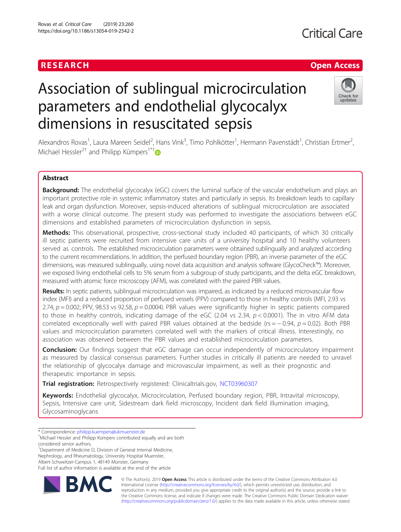## RESEARCH **RESEARCH CHANNEL EXECUTE THE EXECUTIVE OPEN Access**

# Association of sublingual microcirculation parameters and endothelial glycocalyx dimensions in resuscitated sepsis



Alexandros Rovas<sup>1</sup>, Laura Mareen Seidel<sup>2</sup>, Hans Vink<sup>3</sup>, Timo Pohlkötter<sup>1</sup>, Hermann Pavenstädt<sup>1</sup>, Christian Ertmer<sup>2</sup> , Michael Hessler<sup>2†</sup> and Philipp Kümpers<sup>1\*†</sup>

## Abstract

**Background:** The endothelial glycocalyx (eGC) covers the luminal surface of the vascular endothelium and plays an important protective role in systemic inflammatory states and particularly in sepsis. Its breakdown leads to capillary leak and organ dysfunction. Moreover, sepsis-induced alterations of sublingual microcirculation are associated with a worse clinical outcome. The present study was performed to investigate the associations between eGC dimensions and established parameters of microcirculation dysfunction in sepsis.

Methods: This observational, prospective, cross-sectional study included 40 participants, of which 30 critically ill septic patients were recruited from intensive care units of a university hospital and 10 healthy volunteers served as controls. The established microcirculation parameters were obtained sublingually and analyzed according to the current recommendations. In addition, the perfused boundary region (PBR), an inverse parameter of the eGC dimensions, was measured sublingually, using novel data acquisition and analysis software (GlycoCheck™). Moreover, we exposed living endothelial cells to 5% serum from a subgroup of study participants, and the delta eGC breakdown, measured with atomic force microscopy (AFM), was correlated with the paired PBR values.

Results: In septic patients, sublingual microcirculation was impaired, as indicated by a reduced microvascular flow index (MFI) and a reduced proportion of perfused vessels (PPV) compared to those in healthy controls (MFI, 2.93 vs 2.74,  $p = 0.002$ ; PPV, 98.53 vs 92.58,  $p = 0.0004$ ). PBR values were significantly higher in septic patients compared to those in healthy controls, indicating damage of the eGC (2.04 vs 2.34,  $p < 0.0001$ ). The in vitro AFM data correlated exceptionally well with paired PBR values obtained at the bedside (rs =  $-0.94$ ,  $p = 0.02$ ). Both PBR values and microcirculation parameters correlated well with the markers of critical illness. Interestingly, no association was observed between the PBR values and established microcirculation parameters.

**Conclusion:** Our findings suggest that eGC damage can occur independently of microcirculatory impairment as measured by classical consensus parameters. Further studies in critically ill patients are needed to unravel the relationship of glycocalyx damage and microvascular impairment, as well as their prognostic and therapeutic importance in sepsis.

Trial registration: Retrospectively registered: Clinicaltrials.gov, [NCT03960307](https://clinicaltrials.gov/ct2/show/NCT03960307)

Keywords: Endothelial glycocalyx, Microcirculation, Perfused boundary region, PBR, Intravital microscopy, Sepsis, Intensive care unit, Sidestream dark field microscopy, Incident dark field illumination imaging, Glycosaminoglycans

<sup>1</sup>Department of Medicine D, Division of General Internal Medicine,

Nephrology, and Rheumatology, University Hospital Muenster,

Albert-Schweitzer-Campus 1, 48149 Münster, Germany

Full list of author information is available at the end of the article



© The Author(s). 2019 **Open Access** This article is distributed under the terms of the Creative Commons Attribution 4.0 International License [\(http://creativecommons.org/licenses/by/4.0/](http://creativecommons.org/licenses/by/4.0/)), which permits unrestricted use, distribution, and reproduction in any medium, provided you give appropriate credit to the original author(s) and the source, provide a link to the Creative Commons license, and indicate if changes were made. The Creative Commons Public Domain Dedication waiver [\(http://creativecommons.org/publicdomain/zero/1.0/](http://creativecommons.org/publicdomain/zero/1.0/)) applies to the data made available in this article, unless otherwise stated.

<sup>\*</sup> Correspondence: [philipp.kuempers@ukmuenster.de](mailto:philipp.kuempers@ukmuenster.de) †

Michael Hessler and Philipp Kümpers contributed equally and are both

considered senior authors.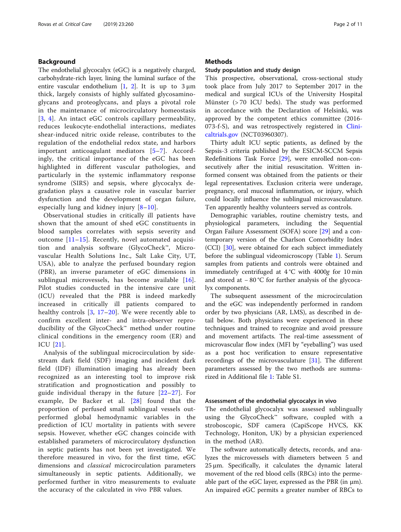## Background

The endothelial glycocalyx (eGC) is a negatively charged, carbohydrate-rich layer, lining the luminal surface of the entire vascular endothelium  $[1, 2]$  $[1, 2]$  $[1, 2]$  $[1, 2]$ . It is up to  $3 \mu m$ thick, largely consists of highly sulfated glycosaminoglycans and proteoglycans, and plays a pivotal role in the maintenance of microcirculatory homeostasis [[3](#page-9-0), [4\]](#page-9-0). An intact eGC controls capillary permeability, reduces leukocyte-endothelial interactions, mediates shear-induced nitric oxide release, contributes to the regulation of the endothelial redox state, and harbors important anticoagulant mediators [\[5](#page-9-0)–[7\]](#page-9-0). Accordingly, the critical importance of the eGC has been highlighted in different vascular pathologies, and particularly in the systemic inflammatory response syndrome (SIRS) and sepsis, where glycocalyx degradation plays a causative role in vascular barrier dysfunction and the development of organ failure, especially lung and kidney injury [[8](#page-9-0)–[10](#page-9-0)].

Observational studies in critically ill patients have shown that the amount of shed eGC constituents in blood samples correlates with sepsis severity and outcome [\[11](#page-9-0)–[15\]](#page-9-0). Recently, novel automated acquisition and analysis software (GlycoCheck™, Microvascular Health Solutions Inc., Salt Lake City, UT, USA), able to analyze the perfused boundary region (PBR), an inverse parameter of eGC dimensions in sublingual microvessels, has become available [[16](#page-9-0)]. Pilot studies conducted in the intensive care unit (ICU) revealed that the PBR is indeed markedly increased in critically ill patients compared to healthy controls [\[3](#page-9-0), [17](#page-9-0)–[20](#page-9-0)]. We were recently able to confirm excellent inter- and intra-observer reproducibility of the GlycoCheck™ method under routine clinical conditions in the emergency room (ER) and ICU [[21\]](#page-9-0).

Analysis of the sublingual microcirculation by sidestream dark field (SDF) imaging and incident dark field (IDF) illumination imaging has already been recognized as an interesting tool to improve risk stratification and prognostication and possibly to guide individual therapy in the future [\[22](#page-9-0)–[27](#page-9-0)]. For example, De Backer et al. [\[28](#page-9-0)] found that the proportion of perfused small sublingual vessels outperformed global hemodynamic variables in the prediction of ICU mortality in patients with severe sepsis. However, whether eGC changes coincide with established parameters of microcirculatory dysfunction in septic patients has not been yet investigated. We therefore measured in vivo, for the first time, eGC dimensions and classical microcirculation parameters simultaneously in septic patients. Additionally, we performed further in vitro measurements to evaluate the accuracy of the calculated in vivo PBR values.

### **Methods**

#### Study population and study design

This prospective, observational, cross-sectional study took place from July 2017 to September 2017 in the medical and surgical ICUs of the University Hospital Münster (> 70 ICU beds). The study was performed in accordance with the Declaration of Helsinki, was approved by the competent ethics committee (2016- 073-f-S), and was retrospectively registered in [Clini](http://clinicaltrials.gov)[caltrials.gov](http://clinicaltrials.gov) (NCT03960307).

Thirty adult ICU septic patients, as defined by the Sepsis-3 criteria published by the ESICM-SCCM Sepsis Redefinitions Task Force [[29](#page-9-0)], were enrolled non-consecutively after the initial resuscitation. Written informed consent was obtained from the patients or their legal representatives. Exclusion criteria were underage, pregnancy, oral mucosal inflammation, or injury, which could locally influence the sublingual microvasculature. Ten apparently healthy volunteers served as controls.

Demographic variables, routine chemistry tests, and physiological parameters, including the Sequential Organ Failure Assessment (SOFA) score [[29\]](#page-9-0) and a contemporary version of the Charlson Comorbidity Index (CCI) [[30\]](#page-9-0), were obtained for each subject immediately before the sublingual videomicroscopy (Table [1\)](#page-2-0). Serum samples from patients and controls were obtained and immediately centrifuged at 4 °C with 4000g for 10 min and stored at − 80 °C for further analysis of the glycocalyx components.

The subsequent assessment of the microcirculation and the eGC was independently performed in random order by two physicians (AR, LMS), as described in detail below. Both physicians were experienced in these techniques and trained to recognize and avoid pressure and movement artifacts. The real-time assessment of microvascular flow index (MFI by "eyeballing") was used as a post hoc verification to ensure representative recordings of the microvasculature [\[31](#page-9-0)]. The different parameters assessed by the two methods are summarized in Additional file [1](#page-8-0): Table S1.

#### Assessment of the endothelial glycocalyx in vivo

The endothelial glycocalyx was assessed sublingually using the GlycoCheck™ software, coupled with a stroboscopic, SDF camera (CapiScope HVCS, KK Technology, Honiton, UK) by a physician experienced in the method (AR).

The software automatically detects, records, and analyzes the microvessels with diameters between 5 and 25 μm. Specifically, it calculates the dynamic lateral movement of the red blood cells (RBCs) into the permeable part of the eGC layer, expressed as the PBR (in μm). An impaired eGC permits a greater number of RBCs to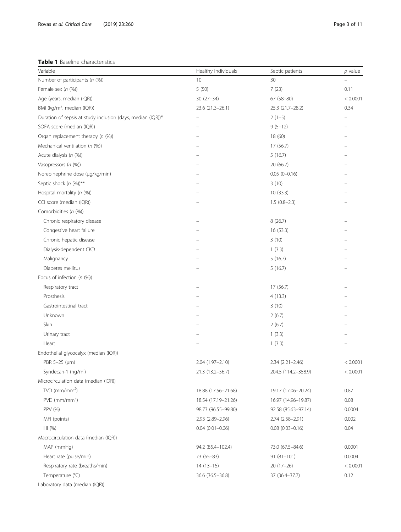<span id="page-2-0"></span>Table 1 Baseline characteristics

| Variable                                                    | Healthy individuals | Septic patients        | $p$ value |
|-------------------------------------------------------------|---------------------|------------------------|-----------|
| Number of participants (n (%))                              | 10                  | 30                     |           |
| Female sex (n (%))                                          | 5 (50)              | 7(23)                  | 0.11      |
| Age (years, median (IQR))                                   | $30(27-34)$         | $67(58-80)$            | < 0.0001  |
| BMI (kg/m <sup>2</sup> , median (IQR))                      | 23.6 (21.3-26.1)    | 25.3 (21.7-28.2)       | 0.34      |
| Duration of sepsis at study inclusion (days, median (IQR))* |                     | $2(1-5)$               |           |
| SOFA score (median (IQR))                                   |                     | $9(5-12)$              |           |
| Organ replacement therapy (n (%))                           |                     | 18 (60)                |           |
| Mechanical ventilation (n (%))                              |                     | 17 (56.7)              |           |
| Acute dialysis (n (%))                                      |                     | 5(16.7)                |           |
| Vasopressors (n (%))                                        |                     | 20 (66.7)              |           |
| Norepinephrine dose (µg/kg/min)                             |                     | $0.05(0-0.16)$         |           |
| Septic shock (n (%))**                                      |                     | 3(10)                  |           |
| Hospital mortality (n (%))                                  |                     | 10(33.3)               |           |
| CCI score (median (IQR))                                    |                     | $1.5(0.8-2.3)$         |           |
| Comorbidities (n (%))                                       |                     |                        |           |
| Chronic respiratory disease                                 |                     | 8(26.7)                |           |
| Congestive heart failure                                    |                     | 16 (53.3)              |           |
| Chronic hepatic disease                                     |                     | 3(10)                  |           |
| Dialysis-dependent CKD                                      |                     | 1(3.3)                 |           |
| Malignancy                                                  |                     | 5(16.7)                |           |
| Diabetes mellitus                                           |                     | 5(16.7)                |           |
| Focus of infection (n (%))                                  |                     |                        |           |
| Respiratory tract                                           |                     | 17(56.7)               |           |
| Prosthesis                                                  |                     | 4(13.3)                |           |
| Gastrointestinal tract                                      |                     | 3(10)                  |           |
| Unknown                                                     |                     | 2(6.7)                 |           |
| Skin                                                        |                     | 2(6.7)                 |           |
| Urinary tract                                               |                     | 1(3.3)                 |           |
| Heart                                                       |                     | 1(3.3)                 |           |
| Endothelial glycocalyx (median (IQR))                       |                     |                        |           |
| PBR 5-25 (µm)                                               | 2.04 (1.97-2.10)    | $2.34(2.21 - 2.46)$    | < 0.0001  |
| Syndecan-1 (ng/ml)                                          | 21.3 (13.2-56.7)    | 204.5 (114.2–358.9)    | < 0.0001  |
| Microcirculation data (median (IQR))                        |                     |                        |           |
| $TVD$ (mm/mm <sup>2</sup> )                                 | 18.88 (17.56-21.68) | 19.17 (17.06-20.24)    | 0.87      |
| $PVD$ (mm/mm <sup>2</sup> )                                 | 18.54 (17.19-21.26) | 16.97 (14.96-19.87)    | 0.08      |
| PPV (%)                                                     | 98.73 (96.55-99.80) | 92.58 (85.63-97.14)    | 0.0004    |
| MFI (points)                                                | 2.93 (2.89-2.96)    | 2.74 (2.58-2.91)       | 0.002     |
| HI (%)                                                      | $0.04(0.01 - 0.06)$ | $0.08$ $(0.03 - 0.16)$ | 0.04      |
| Macrocirculation data (median (IQR))                        |                     |                        |           |
| MAP (mmHg)                                                  | 94.2 (85.4-102.4)   | 73.0 (67.5-84.6)       | 0.0001    |
| Heart rate (pulse/min)                                      | 73 (65-83)          | $91(81 - 101)$         | 0.0004    |
| Respiratory rate (breaths/min)                              | $14(13-15)$         | 20 (17–26)             | < 0.0001  |
| Temperature (°C)                                            | 36.6 (36.5-36.8)    | 37 (36.4-37.7)         | 0.12      |
| Laboratory data (median (IQR))                              |                     |                        |           |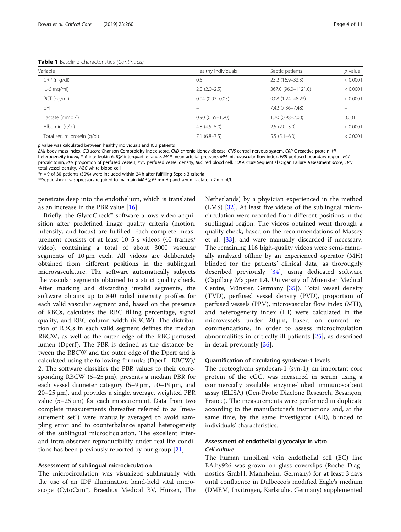Table 1 Baseline characteristics (Continued)

| Page 4 d |  |
|----------|--|
|          |  |

| Variable                   | Healthy individuals | Septic patients     | $p$ value |  |
|----------------------------|---------------------|---------------------|-----------|--|
| CRP (mg/dl)                | 0.5                 | 23.2 (16.9-33.3)    | < 0.0001  |  |
| $IL-6$ (ng/ml)             | $2.0(2.0-2.5)$      | 367.0 (96.0-1121.0) | < 0.0001  |  |
| $PCT$ (ng/ml)              | $0.04(0.03 - 0.05)$ | 9.08 (1.24-48.23)   | < 0.0001  |  |
| pH                         |                     | 7.42 (7.36-7.48)    |           |  |
| Lactate (mmol/l)           | $0.90(0.65 - 1.20)$ | 1.70 (0.98-2.00)    | 0.001     |  |
| Albumin (g/dl)             | $4.8(4.5-5.0)$      | $2.5(2.0-3.0)$      | < 0.0001  |  |
| Total serum protein (g/dl) | $7.1(6.8 - 7.5)$    | $5.5(5.1-6.0)$      | < 0.0001  |  |

p value was calculated between healthy individuals and ICU patients

BMI body mass index, CCI score Charlson Comorbidity Index score, CKD chronic kidney disease, CNS central nervous system, CRP C-reactive protein, HI heterogeneity index, IL-6 interleukin-6, IQR interquartile range, MAP mean arterial pressure, MFI microvascular flow index, PBR perfused boundary region, PCT procalcitonin, PPV proportion of perfused vessels, PVD perfused vessel density, RBC red blood cell, SOFA score Sequential Organ Failure Assessment score, TVD total vessel density, WBC white blood cell

 $*$ n = 9 of 30 patients (30%) were included within 24 h after fulfilling Sepsis-3 criteria

\*\*Septic shock: vasopressors required to maintain MAP ≥ 65 mmHg and serum lactate > 2 mmol/l.

penetrate deep into the endothelium, which is translated as an increase in the PBR value [[16\]](#page-9-0).

Briefly, the GlycoCheck™ software allows video acquisition after predefined image quality criteria (motion, intensity, and focus) are fulfilled. Each complete measurement consists of at least 10 5-s videos (40 frames/ video), containing a total of about 3000 vascular segments of 10 μm each. All videos are deliberately obtained from different positions in the sublingual microvasculature. The software automatically subjects the vascular segments obtained to a strict quality check. After marking and discarding invalid segments, the software obtains up to 840 radial intensity profiles for each valid vascular segment and, based on the presence of RBCs, calculates the RBC filling percentage, signal quality, and RBC column width (RBCW). The distribution of RBCs in each valid segment defines the median RBCW, as well as the outer edge of the RBC-perfused lumen (Dperf). The PBR is defined as the distance between the RBCW and the outer edge of the Dperf and is calculated using the following formula: (Dperf − RBCW)/ 2. The software classifies the PBR values to their corresponding RBCW (5–25 μm), presents a median PBR for each vessel diameter category (5–9 μm, 10–19 μm, and 20–25 μm), and provides a single, average, weighted PBR value (5–25 μm) for each measurement. Data from two complete measurements (hereafter referred to as "measurement set") were manually averaged to avoid sampling error and to counterbalance spatial heterogeneity of the sublingual microcirculation. The excellent interand intra-observer reproducibility under real-life conditions has been previously reported by our group [[21](#page-9-0)].

#### Assessment of sublingual microcirculation

The microcirculation was visualized sublingually with the use of an IDF illumination hand-held vital microscope (CytoCam™, Braedius Medical BV, Huizen, The Netherlands) by a physician experienced in the method (LMS) [\[32](#page-9-0)]. At least five videos of the sublingual microcirculation were recorded from different positions in the sublingual region. The videos obtained went through a quality check, based on the recommendations of Massey et al. [\[33\]](#page-9-0), and were manually discarded if necessary. The remaining 116 high-quality videos were semi-manually analyzed offline by an experienced operator (MH) blinded for the patients' clinical data, as thoroughly described previously [[34\]](#page-9-0), using dedicated software (Capillary Mapper 1.4, University of Muenster Medical Centre, Münster, Germany [[35](#page-10-0)]). Total vessel density (TVD), perfused vessel density (PVD), proportion of perfused vessels (PPV), microvascular flow index (MFI), and heterogeneity index (HI) were calculated in the microvessels under 20 μm, based on current recommendations, in order to assess microcirculation abnormalities in critically ill patients [[25\]](#page-9-0), as described in detail previously [\[36](#page-10-0)].

### Quantification of circulating syndecan-1 levels

The proteoglycan syndecan-1 (syn-1), an important core protein of the eGC, was measured in serum using a commercially available enzyme-linked immunosorbent assay (ELISA) (Gen-Probe Diaclone Research, Besançon, France). The measurements were performed in duplicate according to the manufacturer's instructions and, at the same time, by the same investigator (AR), blinded to individuals' characteristics.

## Assessment of endothelial glycocalyx in vitro Cell culture

The human umbilical vein endothelial cell (EC) line EA.hy926 was grown on glass coverslips (Roche Diagnostics GmbH, Mannheim, Germany) for at least 3 days until confluence in Dulbecco's modified Eagle's medium (DMEM, Invitrogen, Karlsruhe, Germany) supplemented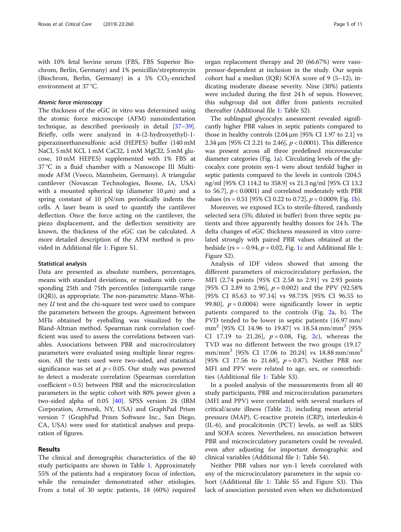with 10% fetal bovine serum (FBS, FBS Superior Biochrom, Berlin, Germany) and 1% penicillin/streptomycin (Biochrom, Berlin, Germany) in a 5%  $CO_2$ -enriched environment at 37 °C.

#### Atomic force microscopy

The thickness of the eGC in vitro was determined using the atomic force microscope (AFM) nanoindentation technique, as described previously in detail [[37](#page-10-0)–[39](#page-10-0)]. Briefly, cells were analyzed in 4-(2-hydroxyethyl)-1 piperazineethanesulfonic acid (HEPES) buffer (140 mM NaCl, 5 mM KCl, 1 mM CaCl2, 1 mM MgCl2, 5 mM glucose, 10 mM HEPES) supplemented with 1% FBS at 37 °C in a fluid chamber with a Nanoscope III Multimode AFM (Veeco, Mannheim, Germany). A triangular cantilever (Novascan Technologies, Boone, IA, USA) with a mounted spherical tip (diameter  $10 \mu m$ ) and a spring constant of 10 pN/nm periodically indents the cells. A laser beam is used to quantify the cantilever deflection. Once the force acting on the cantilever, the piezo displacement, and the deflection sensitivity are known, the thickness of the eGC can be calculated. A more detailed description of the AFM method is provided in Additional file [1:](#page-8-0) Figure S1.

#### Statistical analysis

Data are presented as absolute numbers, percentages, means with standard deviations, or medians with corresponding 25th and 75th percentiles (interquartile range (IQR)), as appropriate. The non-parametric Mann-Whitney U test and the chi-square test were used to compare the parameters between the groups. Agreement between MFIs obtained by eyeballing was visualized by the Bland-Altman method. Spearman rank correlation coefficient was used to assess the correlations between variables. Associations between PBR and microcirculatory parameters were evaluated using multiple linear regression. All the tests used were two-sided, and statistical significance was set at  $p < 0.05$ . Our study was powered to detect a moderate correlation (Spearman correlation coefficient = 0.5) between PBR and the microcirculation parameters in the septic cohort with 80% power given a two-sided alpha of 0.05 [\[40](#page-10-0)]. SPSS version 24 (IBM Corporation, Armonk, NY, USA) and GraphPad Prism version 7 (GraphPad Prism Software Inc., San Diego, CA, USA) were used for statistical analyses and preparation of figures.

#### Results

The clinical and demographic characteristics of the 40 study participants are shown in Table [1.](#page-2-0) Approximately 55% of the patients had a respiratory focus of infection, while the remainder demonstrated other etiologies. From a total of 30 septic patients, 18 (60%) required

organ replacement therapy and 20 (66.67%) were vasopressor-dependent at inclusion in the study. Our sepsis cohort had a median (IQR) SOFA score of 9 (5–12), indicating moderate disease severity. Nine (30%) patients were included during the first 24 h of sepsis. However, this subgroup did not differ from patients recruited thereafter (Additional file [1:](#page-8-0) Table S2).

The sublingual glycocalyx assessment revealed significantly higher PBR values in septic patients compared to those in healthy controls  $(2.04 \,\mu m)$  [95% CI 1.97 to 2.1] vs 2.34 μm [95% CI 2.21 to 2.46],  $p < 0.0001$ ). This difference was present across all three predefined microvascular diameter categories (Fig. [1](#page-5-0)a). Circulating levels of the glycocalyx core protein syn-1 were about tenfold higher in septic patients compared to the levels in controls (204.5 ng/ml [95% CI 114.2 to 358.9] vs 21.3 ng/ml [95% CI 13.2 to 56.7],  $p < 0.0001$ ) and correlated moderately with PBR values (rs =  $0.51$  [95% CI 0.22 to 0.72],  $p = 0.0009$ ; Fig. [1b](#page-5-0)).

Moreover, we exposed ECs to sterile-filtered, randomly selected sera (5%; diluted in buffer) from three septic patients and three apparently healthy donors for 24 h. The delta changes of eGC thickness measured in vitro correlated strongly with paired PBR values obtained at the bedside (rs =  $-0.94$ ,  $p = 0.02$ , Fig. [1](#page-8-0)c and Additional file 1: Figure S2).

Analysis of IDF videos showed that among the different parameters of microcirculatory perfusion, the MFI (2.74 points [95% CI 2.58 to 2.91] vs 2.93 points [95% CI 2.89 to 2.96],  $p = 0.002$ ) and the PPV (92.58% [95% CI 85.63 to 97.14] vs 98.73% [95% CI 96.55 to 99.80],  $p = 0.0004$ ) were significantly lower in septic patients compared to the controls (Fig. [2a](#page-5-0), b). The PVD tended to be lower in septic patients (16.97 mm/  $mm^2$  [95% CI 14.96 to 19.87] vs 18.54 mm/mm<sup>2</sup> [95% CI 17.19 to [2](#page-5-0)1.26],  $p = 0.08$ , Fig. 2c), whereas the TVD was no different between the two groups (19.17 mm/mm<sup>2</sup> [95% CI 17.06 to 20.24] vs 18.88 mm/mm<sup>2</sup> [95% CI 17.56 to 21.68],  $p = 0.87$ ). Neither PBR nor MFI and PPV were related to age, sex, or comorbidities (Additional file [1:](#page-8-0) Table S3).

In a pooled analysis of the measurements from all 40 study participants, PBR and microcirculation parameters (MFI and PPV) were correlated with several markers of critical/acute illness (Table [2](#page-6-0)), including mean arterial pressure (MAP), C-reactive protein (CRP), interleukin-6 (IL-6), and procalcitonin (PCT) levels, as well as SIRS and SOFA scores. Nevertheless, no association between PBR and microcirculatory parameters could be revealed, even after adjusting for important demographic and clinical variables (Additional file [1](#page-8-0): Table S4).

Neither PBR values nor syn-1 levels correlated with any of the microcirculatory parameters in the sepsis cohort (Additional file [1](#page-8-0): Table S5 and Figure S3). This lack of association persisted even when we dichotomized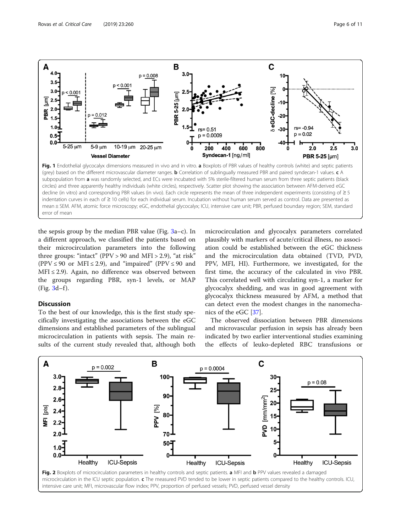<span id="page-5-0"></span>

the sepsis group by the median PBR value (Fig. [3a](#page-6-0)–c). In a different approach, we classified the patients based on their microcirculation parameters into the following three groups: "intact" (PPV > 90 and MFI > 2.9), "at risk" (PPV  $\leq$  90 or MFI  $\leq$  2.9), and "impaired" (PPV  $\leq$  90 and  $MFI \leq 2.9$ ). Again, no difference was observed between the groups regarding PBR, syn-1 levels, or MAP  $(Fig. 3d-f).$  $(Fig. 3d-f).$  $(Fig. 3d-f).$ 

## Discussion

error of mean

To the best of our knowledge, this is the first study specifically investigating the associations between the eGC dimensions and established parameters of the sublingual microcirculation in patients with sepsis. The main results of the current study revealed that, although both

microcirculation and glycocalyx parameters correlated plausibly with markers of acute/critical illness, no association could be established between the eGC thickness and the microcirculation data obtained (TVD, PVD, PPV, MFI, HI). Furthermore, we investigated, for the first time, the accuracy of the calculated in vivo PBR. This correlated well with circulating syn-1, a marker for glycocalyx shedding, and was in good agreement with glycocalyx thickness measured by AFM, a method that can detect even the modest changes in the nanomechanics of the eGC [\[37\]](#page-10-0).

The observed dissociation between PBR dimensions and microvascular perfusion in sepsis has already been indicated by two earlier interventional studies examining the effects of leuko-depleted RBC transfusions or

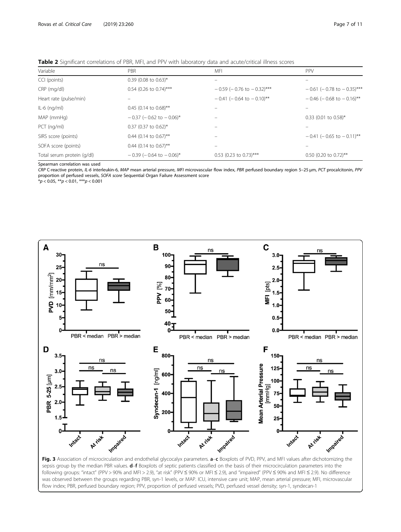<span id="page-6-0"></span>

| Variable                   | <b>PBR</b>                      | <b>MFI</b>                        | PPV                            |
|----------------------------|---------------------------------|-----------------------------------|--------------------------------|
| CCI (points)               | $0.39$ (0.08 to 0.63)*          |                                   |                                |
| CRP (mg/dl)                | $0.54$ (0.26 to 0.74)***        | $-0.59$ ( $-0.76$ to $-0.32$ )*** | $-0.61$ (-0.78 to $-0.35$ )*** |
| Heart rate (pulse/min)     |                                 | $-0.41$ (-0.64 to $-0.10$ )**     | $-0.46$ (-0.68 to $-0.16$ )**  |
| $IL-6$ (ng/ml)             | 0.45 (0.14 to 0.68)**           |                                   |                                |
| MAP (mmHg)                 | $-0.37$ (-0.62 to $-0.06$ )*    |                                   | $0.33$ (0.01 to 0.58)*         |
| $PCT$ (ng/ml)              | $0.37$ (0.37 to 0.62)*          |                                   |                                |
| SIRS score (points)        | 0.44 (0.14 to 0.67)**           |                                   | $-0.41$ (-0.65 to $-0.11$ )**  |
| SOFA score (points)        | 0.44 (0.14 to $0.67$ )**        |                                   |                                |
| Total serum protein (g/dl) | $-0.39$ ( $-0.64$ to $-0.06$ )* | $0.53$ (0.23 to 0.73)***          | $0.50$ (0.20 to 0.72)**        |

Spearman correlation was used

CRP C-reactive protein, IL-6 interleukin-6, MAP mean arterial pressure, MFI microvascular flow index, PBR perfused boundary region 5–25 μm, PCT procalcitonin, PPV proportion of perfused vessels, SOFA score Sequential Organ Failure Assessment score

 $*p < 0.05$ ,  $**p < 0.01$ ,  $***p < 0.001$ 



sepsis group by the median PBR values. d-f Boxplots of septic patients classified on the basis of their microcirculation parameters into the following groups: "intact" (PPV > 90% and MFI > 2.9), "at risk" (PPV ≤ 90% or MFI ≤ 2.9), and "impaired" (PPV ≤ 90% and MFI ≤ 2.9). No difference was observed between the groups regarding PBR, syn-1 levels, or MAP. ICU, intensive care unit; MAP, mean arterial pressure; MFI, microvascular flow index; PBR, perfused boundary region; PPV, proportion of perfused vessels; PVD, perfused vessel density; syn-1, syndecan-1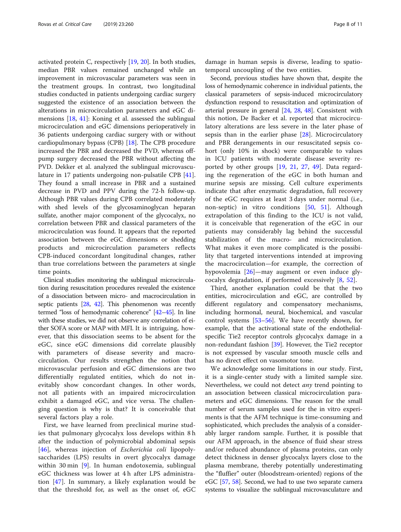activated protein C, respectively [[19,](#page-9-0) [20](#page-9-0)]. In both studies, median PBR values remained unchanged while an improvement in microvascular parameters was seen in the treatment groups. In contrast, two longitudinal studies conducted in patients undergoing cardiac surgery suggested the existence of an association between the alterations in microcirculation parameters and eGC dimensions [\[18](#page-9-0), [41\]](#page-10-0): Koning et al. assessed the sublingual microcirculation and eGC dimensions perioperatively in 36 patients undergoing cardiac surgery with or without cardiopulmonary bypass (CPB) [\[18](#page-9-0)]. The CPB procedure increased the PBR and decreased the PVD, whereas offpump surgery decreased the PBR without affecting the PVD. Dekker et al. analyzed the sublingual microvasculature in 17 patients undergoing non-pulsatile CPB [\[41](#page-10-0)]. They found a small increase in PBR and a sustained decrease in PVD and PPV during the 72-h follow-up. Although PBR values during CPB correlated moderately with shed levels of the glycosaminoglycan heparan sulfate, another major component of the glycocalyx, no correlation between PBR and classical parameters of the microcirculation was found. It appears that the reported association between the eGC dimensions or shedding products and microcirculation parameters reflects CPB-induced concordant longitudinal changes, rather than true correlations between the parameters at single time points.

Clinical studies monitoring the sublingual microcirculation during resuscitation procedures revealed the existence of a dissociation between micro- and macrocirculation in septic patients [\[28,](#page-9-0) [42](#page-10-0)]. This phenomenon was recently termed "loss of hemodynamic coherence" [[42](#page-10-0)–[45](#page-10-0)]. In line with these studies, we did not observe any correlation of either SOFA score or MAP with MFI. It is intriguing, however, that this dissociation seems to be absent for the eGC, since eGC dimensions did correlate plausibly with parameters of disease severity and macrocirculation. Our results strengthen the notion that microvascular perfusion and eGC dimensions are two differentially regulated entities, which do not inevitably show concordant changes. In other words, not all patients with an impaired microcirculation exhibit a damaged eGC, and vice versa. The challenging question is why is that? It is conceivable that several factors play a role.

First, we have learned from preclinical murine studies that pulmonary glycocalyx loss develops within 8 h after the induction of polymicrobial abdominal sepsis [[46](#page-10-0)], whereas injection of *Escherichia coli* lipopolysaccharides (LPS) results in overt glycocalyx damage within 30 min [\[9](#page-9-0)]. In human endotoxemia, sublingual eGC thickness was lower at 4 h after LPS administration [\[47](#page-10-0)]. In summary, a likely explanation would be that the threshold for, as well as the onset of, eGC

damage in human sepsis is diverse, leading to spatiotemporal uncoupling of the two entities.

Second, previous studies have shown that, despite the loss of hemodynamic coherence in individual patients, the classical parameters of sepsis-induced microcirculatory dysfunction respond to resuscitation and optimization of arterial pressure in general [\[24](#page-9-0), [28,](#page-9-0) [48](#page-10-0)]. Consistent with this notion, De Backer et al. reported that microcirculatory alterations are less severe in the later phase of sepsis than in the earlier phase [[28\]](#page-9-0). Microcirculatory and PBR derangements in our resuscitated sepsis cohort (only 10% in shock) were comparable to values in ICU patients with moderate disease severity reported by other groups [[19,](#page-9-0) [21,](#page-9-0) [27](#page-9-0), [49](#page-10-0)]. Data regarding the regeneration of the eGC in both human and murine sepsis are missing. Cell culture experiments indicate that after enzymatic degradation, full recovery of the eGC requires at least 3 days under normal (i.e., non-septic) in vitro conditions [[50,](#page-10-0) [51](#page-10-0)]. Although extrapolation of this finding to the ICU is not valid, it is conceivable that regeneration of the eGC in our patients may considerably lag behind the successful stabilization of the macro- and microcirculation. What makes it even more complicated is the possibility that targeted interventions intended at improving the macrocirculation—for example, the correction of hypovolemia [[26\]](#page-9-0)—may augment or even induce glycocalyx degradation, if performed excessively [[8,](#page-9-0) [52\]](#page-10-0).

Third, another explanation could be that the two entities, microcirculation and eGC, are controlled by different regulatory and compensatory mechanisms, including hormonal, neural, biochemical, and vascular control systems [\[53](#page-10-0)–[56\]](#page-10-0). We have recently shown, for example, that the activational state of the endothelialspecific Tie2 receptor controls glycocalyx damage in a non-redundant fashion [\[39](#page-10-0)]. However, the Tie2 receptor is not expressed by vascular smooth muscle cells and has no direct effect on vasomotor tone.

We acknowledge some limitations in our study. First, it is a single-center study with a limited sample size. Nevertheless, we could not detect any trend pointing to an association between classical microcirculation parameters and eGC dimensions. The reason for the small number of serum samples used for the in vitro experiments is that the AFM technique is time-consuming and sophisticated, which precludes the analysis of a considerably larger random sample. Further, it is possible that our AFM approach, in the absence of fluid shear stress and/or reduced abundance of plasma proteins, can only detect thickness in denser glycocalyx layers close to the plasma membrane, thereby potentially underestimating the "fluffier" outer (bloodstream-oriented) regions of the eGC [[57](#page-10-0), [58\]](#page-10-0). Second, we had to use two separate camera systems to visualize the sublingual microvasculature and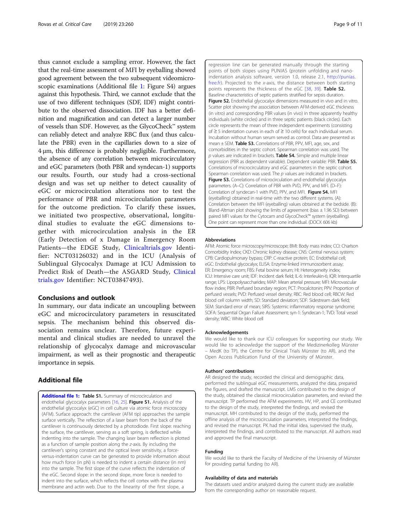<span id="page-8-0"></span>thus cannot exclude a sampling error. However, the fact that the real-time assessment of MFI by eyeballing showed good agreement between the two subsequent videomicroscopic examinations (Additional file 1: Figure S4) argues against this hypothesis. Third, we cannot exclude that the use of two different techniques (SDF, IDF) might contribute to the observed dissociation. IDF has a better definition and magnification and can detect a larger number of vessels than SDF. However, as the GlycoCheck™ system can reliably detect and analyze RBC flux (and thus calculate the PBR) even in the capillaries down to a size of 4 μm, this difference is probably negligible. Furthermore, the absence of any correlation between microcirculatory and eGC parameters (both PBR and syndecan-1) supports our results. Fourth, our study had a cross-sectional design and was set up neither to detect causality of eGC or microcirculation alterations nor to test the performance of PBR and microcirculation parameters for the outcome prediction. To clarify these issues, we initiated two prospective, observational, longitudinal studies to evaluate the eGC dimensions together with microcirculation analysis in the ER (Early Detection of x Damage in Emergency Room Patients—the EDGE Study, [Clinicaltrials.gov](http://clinicaltrials.gov) Identifier: NCT03126032) and in the ICU (Analysis of Sublingual Glycocalyx Damage at ICU Admission to Predict Risk of Death—the ASGARD Study, [Clinical](http://clinicaltrials.gov) [trials.gov](http://clinicaltrials.gov) Identifier: NCT03847493).

#### Conclusions and outlook

In summary, our data indicate an uncoupling between eGC and microcirculatory parameters in resuscitated sepsis. The mechanism behind this observed dissociation remains unclear. Therefore, future experimental and clinical studies are needed to unravel the relationship of glycocalyx damage and microvascular impairment, as well as their prognostic and therapeutic importance in sepsis.

## Additional file

[Additional file 1:](https://doi.org/10.1186/s13054-019-2542-2) Table S1. Summary of microcirculation and endothelial glycocalyx parameters [[16,](#page-9-0) [25](#page-9-0)]. Figure S1. Analysis of the endothelial glycocalyx (eGC) in cell culture via atomic force microscopy (AFM). Surface approach: the cantilever (AFM tip) approaches the sample surface vertically. The reflection of a laser beam from the back of the cantilever is continuously detected by a photodiode. First slope: reaching the surface, the cantilever, serving as a soft spring, is deflected while indenting into the sample. The changing laser beam reflection is plotted as a function of sample position along the z-axis. By including the cantilever's spring constant and the optical lever sensitivity, a forceversus-indentation curve can be generated to provide information about how much force (in pN) is needed to indent a certain distance (in nm) into the sample. The first slope of the curve reflects the indentation of the eGC. Second slope: in the second slope, more force is needed to indent into the surface, which reflects the cell cortex with the plasma membrane and actin web. Due to the linearity of the first slope, a

regression line can be generated manually through the starting points of both slopes using PUNIAS (protein unfolding and nanoindentation analysis software, version 1.0, release 2.1, [http://punias.](http://punias.free.fr) [free.fr](http://punias.free.fr)). Projected to the x-axis, the distance between both starting points represents the thickness of the eGC [[38,](#page-10-0) [39\]](#page-10-0). Table S2. Baseline characteristics of septic patients stratified for sepsis duration. Figure S2. Endothelial glycocalyx dimensions measured in vivo and in vitro. Scatter plot showing the association between AFM-derived eGC thickness (in vitro) and corresponding PBR values (in vivo) in three apparently healthy individuals (white circles) and in three septic patients (black circles). Each circle represents the mean of three independent experiments (consisting of ≥ 5 indentation curves in each of ≥ 10 cells) for each individual serum. Incubation without human serum served as control. Data are presented as mean ± SEM. Table S3. Correlations of PBR, PPV, MFI, age, sex, and comorbidities in the septic cohort. Spearman correlation was used. The  $p$  values are indicated in brackets. Table S4. Simple and multiple linear regression (PBR as dependent variable). Dependent variable: PBR. Table S5. Correlations of microcirculatory and eGC parameters in the septic cohort. Spearman correlation was used. The  $p$  values are indicated in brackets. Figure S3. Correlations of microcirculation and endothelial glycocalyx parameters. (A–C): Correlation of PBR with PVD, PPV, and MFI. (D–F): Correlation of syndecan-1 with PVD, PPV, and MFI. Figure S4. MFI (eyeballing) obtained in real-time with the two different systems. (A): Correlation between the MFI (eyeballing) values obtained at the bedside. (B): Bland-Altman plot showing the limits of agreement (bias  $\pm$  1.96 SD) between paired MFI values for the Cytocam and GlycoCheck™ system (eyeballing). One point can represent more than one individual. (DOCX 606 kb)

#### Abbreviations

AFM: Atomic force microscopy/microscope; BMI: Body mass index; CCI: Charlson Comorbidity Index; CKD: Chronic kidney disease; CNS: Central nervous system; CPB: Cardiopulmonary bypass; CRP: C-reactive protein; EC: Endothelial cell; eGC: Endothelial glycocalyx; ELISA: Enzyme-linked immunosorbent assay; ER: Emergency room; FBS: Fetal bovine serum; HI: Heterogeneity index; ICU: Intensive care unit; IDF: Incident dark field; IL-6: Interleukin-6; IQR: Interquartile range; LPS: Lipopolysaccharides; MAP: Mean arterial pressure; MFI: Microvascular flow index; PBR: Perfused boundary region; PCT: Procalcitonin; PPV: Proportion of perfused vessels; PVD: Perfused vessel density; RBC: Red blood cell; RBCW: Red blood cell column width; SD: Standard deviation; SDF: Sidestream dark field; SEM: Standard error of mean; SIRS: Systemic inflammatory response syndrome; SOFA: Sequential Organ Failure Assessment; syn-1: Syndecan-1; TVD: Total vessel density; WBC: White blood cell

#### Acknowledgements

We would like to thank our ICU colleagues for supporting our study. We would like to acknowledge the support of the Medizinerkolleg Münster – MedK (to TP), the Centre for Clinical Trials Münster (to AR), and the Open Access Publication Fund of the University of Münster.

#### Authors' contributions

AR designed the study, recorded the clinical and demographic data, performed the sublingual eGC measurements, analyzed the data, prepared the figures, and drafted the manuscript. LMS contributed to the design of the study, obtained the classical microcirculation parameters, and revised the manuscript. TP performed the AFM experiments. HV, HP, and CE contributed to the design of the study, interpreted the findings, and revised the manuscript. MH contributed to the design of the study, performed the offline analysis of the microcirculation parameters, interpreted the findings, and revised the manuscript. PK had the initial idea, supervised the study, interpreted the findings, and contributed to the manuscript. All authors read and approved the final manuscript.

#### Funding

We would like to thank the Faculty of Medicine of the University of Münster for providing partial funding (to AR).

#### Availability of data and materials

The datasets used and/or analyzed during the current study are available from the corresponding author on reasonable request.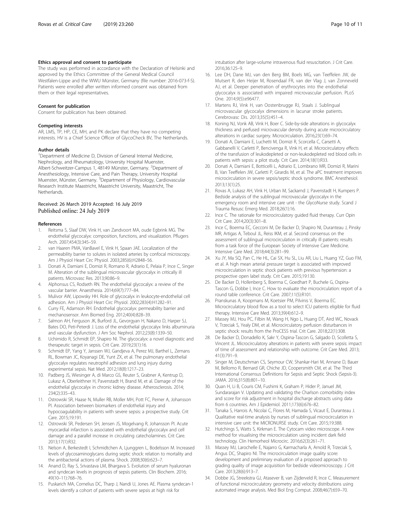#### <span id="page-9-0"></span>Ethics approval and consent to participate

The study was performed in accordance with the Declaration of Helsinki and approved by the Ethics Committee of the General Medical Council Westfalen-Lippe and the WWU Münster, Germany (file number: 2016-073-f-S). Patients were enrolled after written informed consent was obtained from them or their legal representatives.

#### Consent for publication

Consent for publication has been obtained.

#### Competing interests

AR, LMS, TP, HP, CE, MH, and PK declare that they have no competing interests. HV is a Chief Science Officer of GlycoCheck BV, The Netherlands.

#### Author details

<sup>1</sup>Department of Medicine D, Division of General Internal Medicine, Nephrology, and Rheumatology, University Hospital Muenster, Albert-Schweitzer-Campus 1, 48149 Münster, Germany. <sup>2</sup>Department of Anesthesiology, Intensive Care, and Pain Therapy, University Hospital Muenster, Münster, Germany. <sup>3</sup>Department of Physiology, Cardiovascular Research Institute Maastricht, Maastricht University, Maastricht, The Netherlands.

#### Received: 26 March 2019 Accepted: 16 July 2019 Published online: 24 July 2019

#### References

- 1. Reitsma S, Slaaf DW, Vink H, van Zandvoort MA, oude Egbrink MG. The endothelial glycocalyx: composition, functions, and visualization. Pflugers Arch. 2007;454(3):345–59.
- 2. van Haaren PMA, VanBavel E, Vink H, Spaan JAE. Localization of the permeability barrier to solutes in isolated arteries by confocal microscopy. Am J Physiol Heart Circ Physiol. 2003;285(6):H2848–56.
- 3. Donati A, Damiani E, Domizi R, Romano R, Adrario E, Pelaia P, Ince C, Singer M. Alteration of the sublingual microvascular glycocalyx in critically ill patients. Microvasc Res. 2013;90:86–9.
- 4. Alphonsus CS, Rodseth RN. The endothelial glycocalyx: a review of the vascular barrier. Anaesthesia. 2014;69(7):777–84.
- 5. Mulivor AW, Lipowsky HH. Role of glycocalyx in leukocyte-endothelial cell adhesion. Am J Physiol Heart Circ Physiol. 2002;283(4):H1282–91.
- 6. Curry FE, Adamson RH. Endothelial glycocalyx: permeability barrier and mechanosensor. Ann Biomed Eng. 2012;40(4):828–39.
- 7. Salmon AH, Ferguson JK, Burford JL, Gevorgyan H, Nakano D, Harper SJ, Bates DO, Peti-Peterdi J. Loss of the endothelial glycocalyx links albuminuria and vascular dysfunction. J Am Soc Nephrol. 2012;23(8):1339–50.
- 8. Uchimido R, Schmidt EP, Shapiro NI. The glycocalyx: a novel diagnostic and therapeutic target in sepsis. Crit Care. 2019;23(1):16.
- 9. Schmidt EP, Yang Y, Janssen WJ, Gandjeva A, Perez MJ, Barthel L, Zemans RL, Bowman JC, Koyanagi DE, Yunt ZX, et al. The pulmonary endothelial glycocalyx regulates neutrophil adhesion and lung injury during experimental sepsis. Nat Med. 2012;18(8):1217–23.
- 10. Padberg JS, Wiesinger A, di Marco GS, Reuter S, Grabner A, Kentrup D, Lukasz A, Oberleithner H, Pavenstadt H, Brand M, et al. Damage of the endothelial glycocalyx in chronic kidney disease. Atherosclerosis. 2014; 234(2):335–43.
- 11. Ostrowski SR, Haase N, Muller RB, Moller MH, Pott FC, Perner A, Johansson PI. Association between biomarkers of endothelial injury and hypocoagulability in patients with severe sepsis: a prospective study. Crit Care. 2015;19:191.
- 12. Ostrowski SR, Pedersen SH, Jensen JS, Mogelvang R, Johansson PI. Acute myocardial infarction is associated with endothelial glycocalyx and cell damage and a parallel increase in circulating catecholamines. Crit Care. 2013;17(1):R32.
- 13. Nelson A, Berkestedt I, Schmidtchen A, Ljunggren L, Bodelsson M. Increased levels of glycosaminoglycans during septic shock: relation to mortality and the antibacterial actions of plasma. Shock. 2008;30(6):623–7.
- 14. Anand D, Ray S, Srivastava LM, Bhargava S. Evolution of serum hyaluronan and syndecan levels in prognosis of sepsis patients. Clin Biochem. 2016; 49(10–11):768–76.
- 15. Puskarich MA, Cornelius DC, Tharp J, Nandi U, Jones AE. Plasma syndecan-1 levels identify a cohort of patients with severe sepsis at high risk for

intubation after large-volume intravenous fluid resuscitation. J Crit Care. 2016;36:125–9.

- 16. Lee DH, Dane MJ, van den Berg BM, Boels MG, van Teeffelen JW, de Mutsert R, den Heijer M, Rosendaal FR, van der Vlag J, van Zonneveld AJ, et al. Deeper penetration of erythrocytes into the endothelial glycocalyx is associated with impaired microvascular perfusion. PLoS One. 2014;9(5):e96477.
- 17. Martens RJ, Vink H, van Oostenbrugge RJ, Staals J. Sublingual microvascular glycocalyx dimensions in lacunar stroke patients. Cerebrovasc Dis. 2013;35(5):451–4.
- 18. Koning NJ, Vonk AB, Vink H, Boer C. Side-by-side alterations in glycocalyx thickness and perfused microvascular density during acute microcirculatory alterations in cardiac surgery. Microcirculation. 2016;23(1):69–74.
- 19. Donati A, Damiani E, Luchetti M, Domizi R, Scorcella C, Carsetti A, Gabbanelli V, Carletti P, Bencivenga R, Vink H, et al. Microcirculatory effects of the transfusion of leukodepleted or non-leukodepleted red blood cells in patients with sepsis: a pilot study. Crit Care. 2014;18(1):R33.
- 20. Donati A, Damiani E, Botticelli L, Adrario E, Lombrano MR, Domizi R, Marini B, Van Teeffelen JW, Carletti P, Girardis M, et al. The aPC treatment improves microcirculation in severe sepsis/septic shock syndrome. BMC Anesthesiol. 2013;13(1):25.
- 21. Rovas A, Lukasz AH, Vink H, Urban M, Sackarnd J, Pavenstadt H, Kumpers P. Bedside analysis of the sublingual microvascular glycocalyx in the emergency room and intensive care unit - the GlycoNurse study. Scand J Trauma Resusc Emerg Med. 2018;26(1):16.
- 22. Ince C. The rationale for microcirculatory guided fluid therapy. Curr Opin Crit Care. 2014;20(3):301–8.
- 23. Ince C, Boerma EC, Cecconi M, De Backer D, Shapiro NI, Duranteau J, Pinsky MR, Artigas A, Teboul JL, Reiss IKM, et al. Second consensus on the assessment of sublingual microcirculation in critically ill patients: results from a task force of the European Society of Intensive Care Medicine. Intensive Care Med. 2018;44(3):281–99.
- 24. Xu JY, Ma SQ, Pan C, He HL, Cai SX, Hu SL, Liu AR, Liu L, Huang YZ, Guo FM, et al. A high mean arterial pressure target is associated with improved microcirculation in septic shock patients with previous hypertension: a prospective open label study. Crit Care. 2015;19:130.
- 25. De Backer D, Hollenberg S, Boerma C, Goedhart P, Buchele G, Ospina-Tascon G, Dobbe I, Ince C. How to evaluate the microcirculation: report of a round table conference. Crit Care. 2007;11(5):R101.
- 26. Pranskunas A, Koopmans M, Koetsier PM, Pilvinis V, Boerma EC. Microcirculatory blood flow as a tool to select ICU patients eligible for fluid therapy. Intensive Care Med. 2013;39(4):612–9.
- 27. Massey MJ, Hou PC, Filbin M, Wang H, Ngo L, Huang DT, Aird WC, Novack V, Trzeciak S, Yealy DM, et al. Microcirculatory perfusion disturbances in septic shock: results from the ProCESS trial. Crit Care. 2018;22(1):308.
- 28. De Backer D, Donadello K, Sakr Y, Ospina-Tascon G, Salgado D, Scolletta S, Vincent JL. Microcirculatory alterations in patients with severe sepsis: impact of time of assessment and relationship with outcome. Crit Care Med. 2013; 41(3):791–9.
- 29. Singer M, Deutschman CS, Seymour CW, Shankar-Hari M, Annane D, Bauer M, Bellomo R, Bernard GR, Chiche JD, Coopersmith CM, et al. The Third International Consensus Definitions for Sepsis and Septic Shock (Sepsis-3). JAMA. 2016;315(8):801–10.
- 30. Quan H, Li B, Couris CM, Fushimi K, Graham P, Hider P, Januel JM, Sundararajan V. Updating and validating the Charlson comorbidity index and score for risk adjustment in hospital discharge abstracts using data from 6 countries. Am J Epidemiol. 2011;173(6):676–82.
- 31. Tanaka S, Harrois A, Nicolai C, Flores M, Hamada S, Vicaut E, Duranteau J. Qualitative real-time analysis by nurses of sublingual microcirculation in intensive care unit: the MICRONURSE study. Crit Care. 2015;19:388.
- 32. Hutchings S, Watts S, Kirkman E. The Cytocam video microscope. A new method for visualising the microcirculation using incident dark field technology. Clin Hemorheol Microcirc. 2016;62(3):261–71.
- 33. Massey MJ, Larochelle E, Najarro G, Karmacharla A, Arnold R, Trzeciak S, Angus DC, Shapiro NI. The microcirculation image quality score: development and preliminary evaluation of a proposed approach to grading quality of image acquisition for bedside videomicroscopy. J Crit Care. 2013;28(6):913–7.
- 34. Dobbe JG, Streekstra GJ, Atasever B, van Zijderveld R, Ince C. Measurement of functional microcirculatory geometry and velocity distributions using automated image analysis. Med Biol Eng Comput. 2008;46(7):659–70.